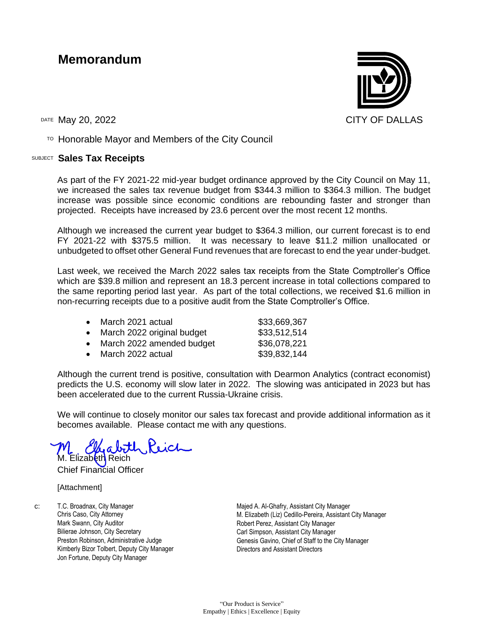## **Memorandum**

DATE May 20, 2022 CITY OF DALLAS

 $T$ <sup>O</sup> Honorable Mayor and Members of the City Council

## SUBJECT **Sales Tax Receipts**

As part of the FY 2021-22 mid-year budget ordinance approved by the City Council on May 11, we increased the sales tax revenue budget from \$344.3 million to \$364.3 million. The budget increase was possible since economic conditions are rebounding faster and stronger than projected. Receipts have increased by 23.6 percent over the most recent 12 months.

Although we increased the current year budget to \$364.3 million, our current forecast is to end FY 2021-22 with \$375.5 million. It was necessary to leave \$11.2 million unallocated or unbudgeted to offset other General Fund revenues that are forecast to end the year under-budget.

Last week, we received the March 2022 sales tax receipts from the State Comptroller's Office which are \$39.8 million and represent an 18.3 percent increase in total collections compared to the same reporting period last year. As part of the total collections, we received \$1.6 million in non-recurring receipts due to a positive audit from the State Comptroller's Office.

| $\bullet$ | March 2021 actual          | \$33,669,367 |
|-----------|----------------------------|--------------|
|           | March 2022 original budget | \$33,512,514 |
|           | March 2022 amended budget  | \$36,078,221 |
|           | March 2022 actual          | \$39,832,144 |

Although the current trend is positive, consultation with Dearmon Analytics (contract economist) predicts the U.S. economy will slow later in 2022. The slowing was anticipated in 2023 but has been accelerated due to the current Russia-Ukraine crisis.

We will continue to closely monitor our sales tax forecast and provide additional information as it becomes available. Please contact me with any questions.

 $a$  both

Elizabeth Reich Chief Financial Officer

[Attachment]

c: T.C. Broadnax, City Manager Chris Caso, City Attorney Mark Swann, City Auditor Bilierae Johnson, City Secretary Preston Robinson, Administrative Judge Kimberly Bizor Tolbert, Deputy City Manager Jon Fortune, Deputy City Manager

Majed A. Al-Ghafry, Assistant City Manager M. Elizabeth (Liz) Cedillo-Pereira, Assistant City Manager Robert Perez, Assistant City Manager Carl Simpson, Assistant City Manager Genesis Gavino, Chief of Staff to the City Manager Directors and Assistant Directors